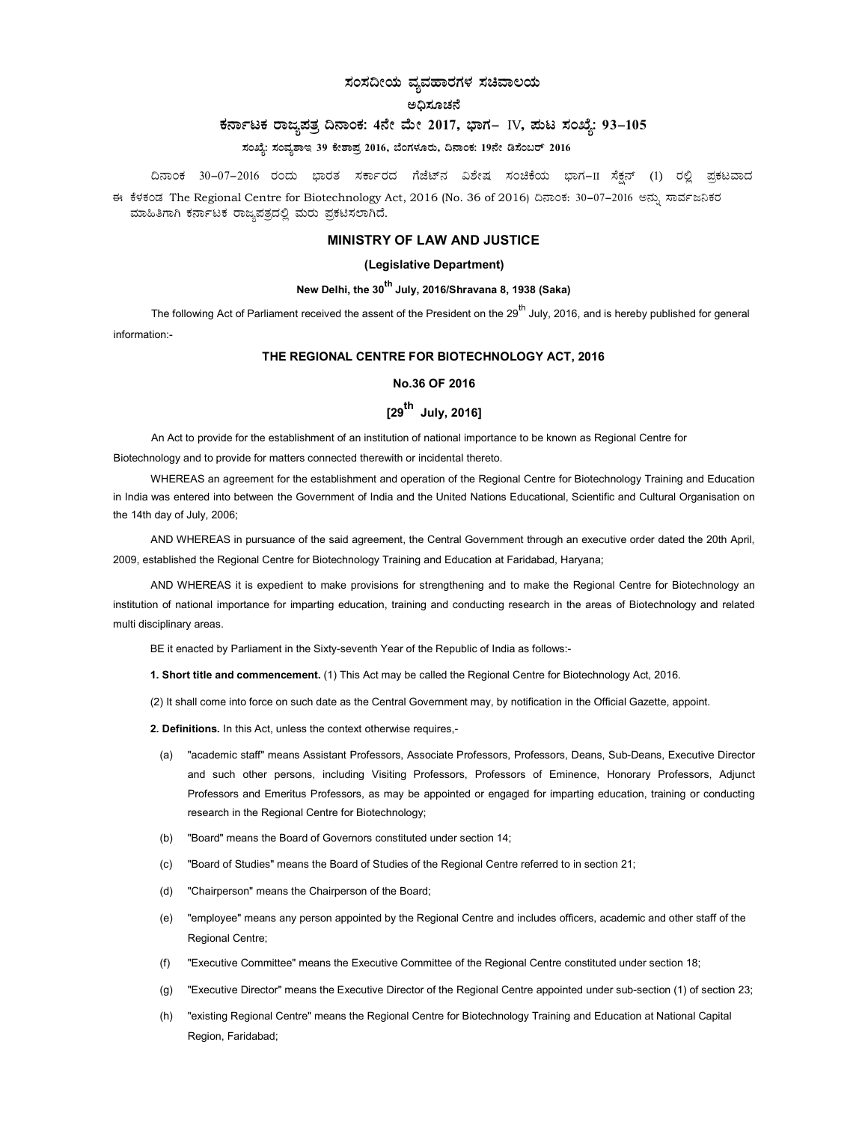# ಸಂಸದೀಯ ವ್ಯವಹಾರಗಳ ಸಚಿವಾಲಯ

#### ಅದಿಸೂಚನೆ

# ಕರ್ನಾಟಕ ರಾಜ್ಯಪತ್ರ ದಿನಾಂಕ: 4ನೇ ಮೇ 2017, ಭಾಗ– IV, ಪುಟ ಸಂಖ್ಯೆ: 93-105

# ಸಂಖ್ಯೆ: ಸಂವ್ಯಶಾಇ 39 ಕೇಶಾಪ್ರ 2016, ಬೆಂಗಳೂರು, ದಿನಾಂಕ: 19ನೇ ಡಿಸೆಂಬರ್ 2016

ದಿನಾಂಕ 30−07−2016 ರಂದು ಭಾರತ ಸರ್ಕಾರದ ಗೆಜೆಟ್ನ ವಿಶೇಷ ಸಂಚಿಕೆಯ ಭಾಗ−II ಸೆಕ್ಷನ್ (1) ರಲ್ಲಿ ಪ್ರಕಟವಾದ

ಈ ಕೆಳಕಂಡ The Regional Centre for Biotechnology Act, 2016 (No. 36 of 2016) ದಿನಾಂಕ: 30-07-2016 ಅನ್ನು ಸಾರ್ವಜನಿಕರ ಮಾಹಿತಿಗಾಗಿ ಕರ್ನಾಟಕ ರಾಜ್ಯಪತ್ರದಲ್ಲಿ ಮರು ಪ್ರಕಟಿಸಲಾಗಿದೆ.

### MINISTRY OF LAW AND JUSTICE

#### (Legislative Department)

# New Delhi, the 30<sup>th</sup> July, 2016/Shravana 8, 1938 (Saka)

The following Act of Parliament received the assent of the President on the 29<sup>th</sup> July, 2016, and is hereby published for general information:-

#### THE REGIONAL CENTRE FOR BIOTECHNOLOGY ACT, 2016

### No.36 OF 2016

# $[29<sup>th</sup>$  July, 2016]

An Act to provide for the establishment of an institution of national importance to be known as Regional Centre for Biotechnology and to provide for matters connected therewith or incidental thereto.

WHEREAS an agreement for the establishment and operation of the Regional Centre for Biotechnology Training and Education in India was entered into between the Government of India and the United Nations Educational, Scientific and Cultural Organisation on the 14th day of July, 2006;

AND WHEREAS in pursuance of the said agreement, the Central Government through an executive order dated the 20th April, 2009, established the Regional Centre for Biotechnology Training and Education at Faridabad, Haryana;

AND WHEREAS it is expedient to make provisions for strengthening and to make the Regional Centre for Biotechnology an institution of national importance for imparting education, training and conducting research in the areas of Biotechnology and related multi disciplinary areas.

BE it enacted by Parliament in the Sixty-seventh Year of the Republic of India as follows:-

1. Short title and commencement. (1) This Act may be called the Regional Centre for Biotechnology Act, 2016.

(2) It shall come into force on such date as the Central Government may, by notification in the Official Gazette, appoint.

2. Definitions. In this Act, unless the context otherwise requires,-

- (a) "academic staff" means Assistant Professors, Associate Professors, Professors, Deans, Sub-Deans, Executive Director and such other persons, including Visiting Professors, Professors of Eminence, Honorary Professors, Adjunct Professors and Emeritus Professors, as may be appointed or engaged for imparting education, training or conducting research in the Regional Centre for Biotechnology;
- (b) "Board" means the Board of Governors constituted under section 14;
- (c) "Board of Studies" means the Board of Studies of the Regional Centre referred to in section 21;
- (d) "Chairperson" means the Chairperson of the Board;
- (e) "employee" means any person appointed by the Regional Centre and includes officers, academic and other staff of the Regional Centre;
- (f) "Executive Committee" means the Executive Committee of the Regional Centre constituted under section 18;
- (g) "Executive Director" means the Executive Director of the Regional Centre appointed under sub-section (1) of section 23;
- (h) "existing Regional Centre" means the Regional Centre for Biotechnology Training and Education at National Capital Region, Faridabad;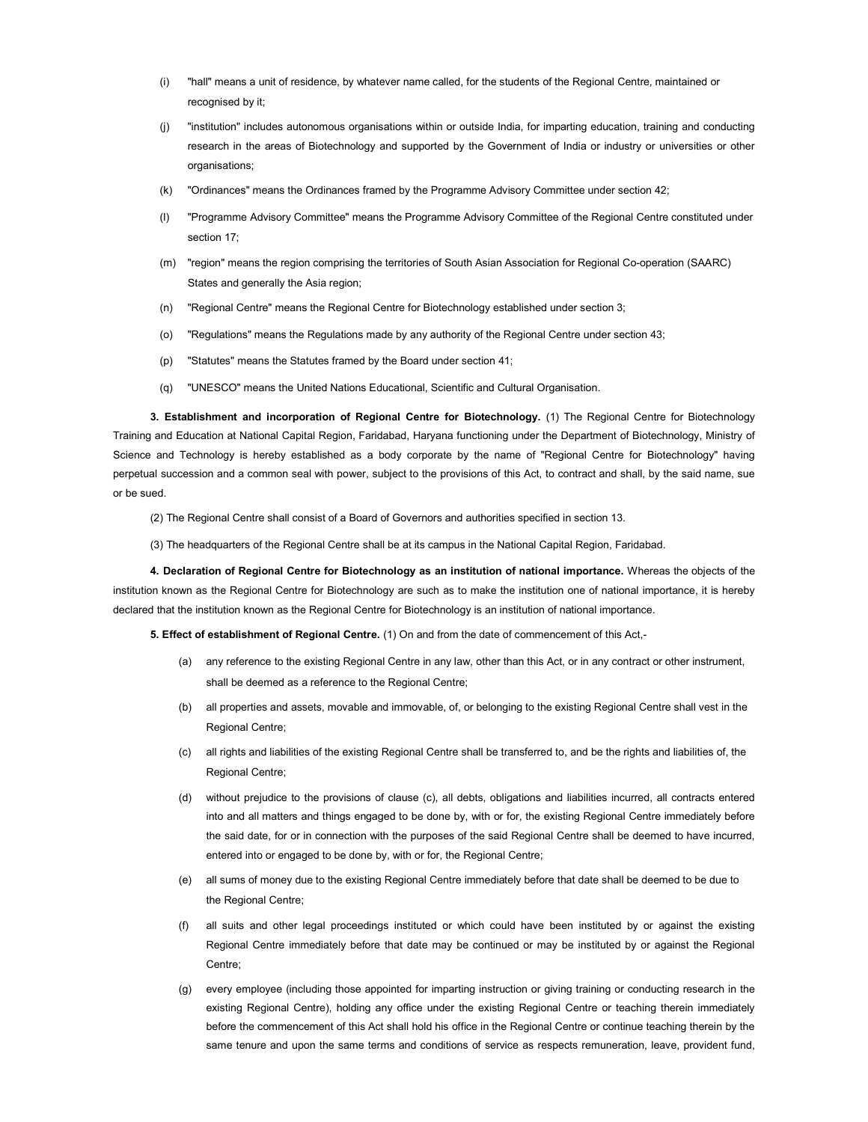- (i) "hall" means a unit of residence, by whatever name called, for the students of the Regional Centre, maintained or recognised by it;
- "institution" includes autonomous organisations within or outside India, for imparting education, training and conducting research in the areas of Biotechnology and supported by the Government of India or industry or universities or other organisations;
- (k) "Ordinances" means the Ordinances framed by the Programme Advisory Committee under section 42;
- (l) "Programme Advisory Committee" means the Programme Advisory Committee of the Regional Centre constituted under section 17;
- (m) "region" means the region comprising the territories of South Asian Association for Regional Co-operation (SAARC) States and generally the Asia region;
- (n) "Regional Centre" means the Regional Centre for Biotechnology established under section 3;
- (o) "Regulations" means the Regulations made by any authority of the Regional Centre under section 43;
- (p) "Statutes" means the Statutes framed by the Board under section 41;
- (q) "UNESCO" means the United Nations Educational, Scientific and Cultural Organisation.

3. Establishment and incorporation of Regional Centre for Biotechnology. (1) The Regional Centre for Biotechnology Training and Education at National Capital Region, Faridabad, Haryana functioning under the Department of Biotechnology, Ministry of Science and Technology is hereby established as a body corporate by the name of "Regional Centre for Biotechnology" having perpetual succession and a common seal with power, subject to the provisions of this Act, to contract and shall, by the said name, sue or be sued.

(2) The Regional Centre shall consist of a Board of Governors and authorities specified in section 13.

(3) The headquarters of the Regional Centre shall be at its campus in the National Capital Region, Faridabad.

4. Declaration of Regional Centre for Biotechnology as an institution of national importance. Whereas the objects of the institution known as the Regional Centre for Biotechnology are such as to make the institution one of national importance, it is hereby declared that the institution known as the Regional Centre for Biotechnology is an institution of national importance.

5. Effect of establishment of Regional Centre. (1) On and from the date of commencement of this Act,-

- (a) any reference to the existing Regional Centre in any law, other than this Act, or in any contract or other instrument, shall be deemed as a reference to the Regional Centre;
- (b) all properties and assets, movable and immovable, of, or belonging to the existing Regional Centre shall vest in the Regional Centre;
- (c) all rights and liabilities of the existing Regional Centre shall be transferred to, and be the rights and liabilities of, the Regional Centre;
- (d) without prejudice to the provisions of clause (c), all debts, obligations and liabilities incurred, all contracts entered into and all matters and things engaged to be done by, with or for, the existing Regional Centre immediately before the said date, for or in connection with the purposes of the said Regional Centre shall be deemed to have incurred, entered into or engaged to be done by, with or for, the Regional Centre;
- (e) all sums of money due to the existing Regional Centre immediately before that date shall be deemed to be due to the Regional Centre;
- (f) all suits and other legal proceedings instituted or which could have been instituted by or against the existing Regional Centre immediately before that date may be continued or may be instituted by or against the Regional Centre;
- (g) every employee (including those appointed for imparting instruction or giving training or conducting research in the existing Regional Centre), holding any office under the existing Regional Centre or teaching therein immediately before the commencement of this Act shall hold his office in the Regional Centre or continue teaching therein by the same tenure and upon the same terms and conditions of service as respects remuneration, leave, provident fund,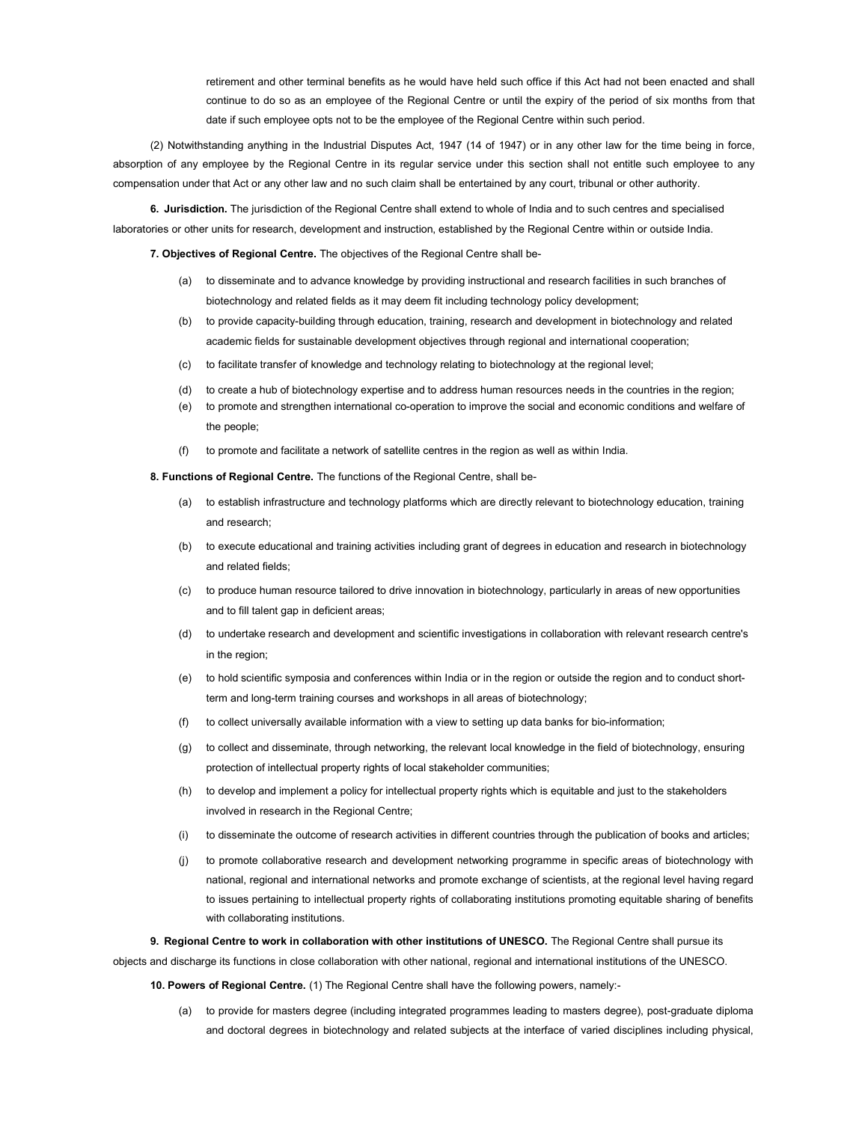retirement and other terminal benefits as he would have held such office if this Act had not been enacted and shall continue to do so as an employee of the Regional Centre or until the expiry of the period of six months from that date if such employee opts not to be the employee of the Regional Centre within such period.

(2) Notwithstanding anything in the Industrial Disputes Act, 1947 (14 of 1947) or in any other law for the time being in force, absorption of any employee by the Regional Centre in its regular service under this section shall not entitle such employee to any compensation under that Act or any other law and no such claim shall be entertained by any court, tribunal or other authority.

6. Jurisdiction. The jurisdiction of the Regional Centre shall extend to whole of India and to such centres and specialised laboratories or other units for research, development and instruction, established by the Regional Centre within or outside India.

7. Objectives of Regional Centre. The objectives of the Regional Centre shall be-

- (a) to disseminate and to advance knowledge by providing instructional and research facilities in such branches of biotechnology and related fields as it may deem fit including technology policy development;
- (b) to provide capacity-building through education, training, research and development in biotechnology and related academic fields for sustainable development objectives through regional and international cooperation;
- (c) to facilitate transfer of knowledge and technology relating to biotechnology at the regional level;
- (d) to create a hub of biotechnology expertise and to address human resources needs in the countries in the region;
- (e) to promote and strengthen international co-operation to improve the social and economic conditions and welfare of the people;
- (f) to promote and facilitate a network of satellite centres in the region as well as within India.

8. Functions of Regional Centre. The functions of the Regional Centre, shall be-

- (a) to establish infrastructure and technology platforms which are directly relevant to biotechnology education, training and research;
- (b) to execute educational and training activities including grant of degrees in education and research in biotechnology and related fields;
- (c) to produce human resource tailored to drive innovation in biotechnology, particularly in areas of new opportunities and to fill talent gap in deficient areas;
- (d) to undertake research and development and scientific investigations in collaboration with relevant research centre's in the region;
- (e) to hold scientific symposia and conferences within India or in the region or outside the region and to conduct shortterm and long-term training courses and workshops in all areas of biotechnology;
- (f) to collect universally available information with a view to setting up data banks for bio-information;
- (g) to collect and disseminate, through networking, the relevant local knowledge in the field of biotechnology, ensuring protection of intellectual property rights of local stakeholder communities;
- (h) to develop and implement a policy for intellectual property rights which is equitable and just to the stakeholders involved in research in the Regional Centre;
- (i) to disseminate the outcome of research activities in different countries through the publication of books and articles;
- (j) to promote collaborative research and development networking programme in specific areas of biotechnology with national, regional and international networks and promote exchange of scientists, at the regional level having regard to issues pertaining to intellectual property rights of collaborating institutions promoting equitable sharing of benefits with collaborating institutions.

9. Regional Centre to work in collaboration with other institutions of UNESCO. The Regional Centre shall pursue its objects and discharge its functions in close collaboration with other national, regional and international institutions of the UNESCO.

10. Powers of Regional Centre. (1) The Regional Centre shall have the following powers, namely:-

(a) to provide for masters degree (including integrated programmes leading to masters degree), post-graduate diploma and doctoral degrees in biotechnology and related subjects at the interface of varied disciplines including physical,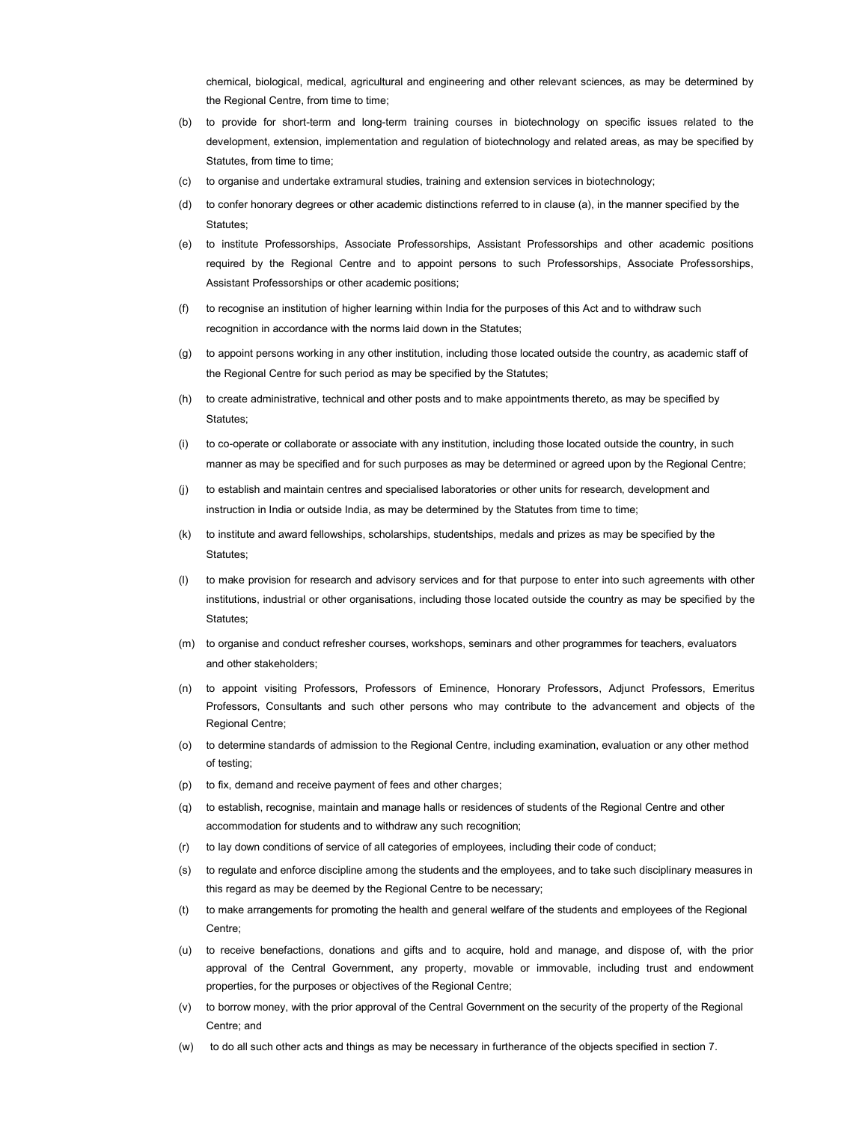chemical, biological, medical, agricultural and engineering and other relevant sciences, as may be determined by the Regional Centre, from time to time;

- (b) to provide for short-term and long-term training courses in biotechnology on specific issues related to the development, extension, implementation and regulation of biotechnology and related areas, as may be specified by Statutes, from time to time;
- (c) to organise and undertake extramural studies, training and extension services in biotechnology;
- (d) to confer honorary degrees or other academic distinctions referred to in clause (a), in the manner specified by the Statutes;
- (e) to institute Professorships, Associate Professorships, Assistant Professorships and other academic positions required by the Regional Centre and to appoint persons to such Professorships, Associate Professorships, Assistant Professorships or other academic positions;
- (f) to recognise an institution of higher learning within India for the purposes of this Act and to withdraw such recognition in accordance with the norms laid down in the Statutes;
- (g) to appoint persons working in any other institution, including those located outside the country, as academic staff of the Regional Centre for such period as may be specified by the Statutes;
- (h) to create administrative, technical and other posts and to make appointments thereto, as may be specified by Statutes;
- (i) to co-operate or collaborate or associate with any institution, including those located outside the country, in such manner as may be specified and for such purposes as may be determined or agreed upon by the Regional Centre;
- (j) to establish and maintain centres and specialised laboratories or other units for research, development and instruction in India or outside India, as may be determined by the Statutes from time to time;
- (k) to institute and award fellowships, scholarships, studentships, medals and prizes as may be specified by the Statutes;
- (l) to make provision for research and advisory services and for that purpose to enter into such agreements with other institutions, industrial or other organisations, including those located outside the country as may be specified by the Statutes;
- (m) to organise and conduct refresher courses, workshops, seminars and other programmes for teachers, evaluators and other stakeholders;
- (n) to appoint visiting Professors, Professors of Eminence, Honorary Professors, Adjunct Professors, Emeritus Professors, Consultants and such other persons who may contribute to the advancement and objects of the Regional Centre;
- (o) to determine standards of admission to the Regional Centre, including examination, evaluation or any other method of testing;
- (p) to fix, demand and receive payment of fees and other charges;
- (q) to establish, recognise, maintain and manage halls or residences of students of the Regional Centre and other accommodation for students and to withdraw any such recognition;
- (r) to lay down conditions of service of all categories of employees, including their code of conduct;
- (s) to regulate and enforce discipline among the students and the employees, and to take such disciplinary measures in this regard as may be deemed by the Regional Centre to be necessary;
- (t) to make arrangements for promoting the health and general welfare of the students and employees of the Regional Centre;
- (u) to receive benefactions, donations and gifts and to acquire, hold and manage, and dispose of, with the prior approval of the Central Government, any property, movable or immovable, including trust and endowment properties, for the purposes or objectives of the Regional Centre;
- (v) to borrow money, with the prior approval of the Central Government on the security of the property of the Regional Centre; and
- (w) to do all such other acts and things as may be necessary in furtherance of the objects specified in section 7.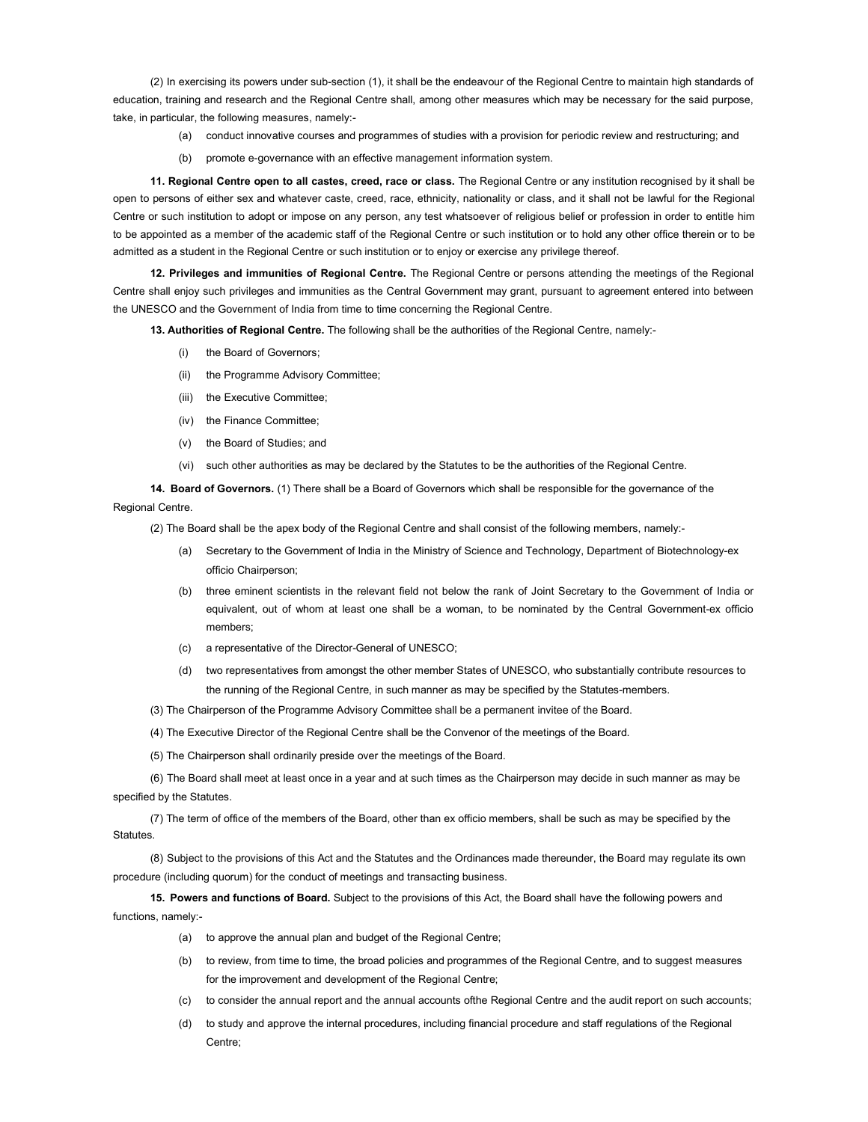(2) In exercising its powers under sub-section (1), it shall be the endeavour of the Regional Centre to maintain high standards of education, training and research and the Regional Centre shall, among other measures which may be necessary for the said purpose, take, in particular, the following measures, namely:-

- (a) conduct innovative courses and programmes of studies with a provision for periodic review and restructuring; and
- (b) promote e-governance with an effective management information system.

11. Regional Centre open to all castes, creed, race or class. The Regional Centre or any institution recognised by it shall be open to persons of either sex and whatever caste, creed, race, ethnicity, nationality or class, and it shall not be lawful for the Regional Centre or such institution to adopt or impose on any person, any test whatsoever of religious belief or profession in order to entitle him to be appointed as a member of the academic staff of the Regional Centre or such institution or to hold any other office therein or to be admitted as a student in the Regional Centre or such institution or to enjoy or exercise any privilege thereof.

12. Privileges and immunities of Regional Centre. The Regional Centre or persons attending the meetings of the Regional Centre shall enjoy such privileges and immunities as the Central Government may grant, pursuant to agreement entered into between the UNESCO and the Government of India from time to time concerning the Regional Centre.

13. Authorities of Regional Centre. The following shall be the authorities of the Regional Centre, namely:-

- (i) the Board of Governors;
- (ii) the Programme Advisory Committee;
- (iii) the Executive Committee:
- (iv) the Finance Committee;
- (v) the Board of Studies; and
- (vi) such other authorities as may be declared by the Statutes to be the authorities of the Regional Centre.

14. Board of Governors. (1) There shall be a Board of Governors which shall be responsible for the governance of the Regional Centre.

(2) The Board shall be the apex body of the Regional Centre and shall consist of the following members, namely:-

- (a) Secretary to the Government of India in the Ministry of Science and Technology, Department of Biotechnology-ex officio Chairperson;
- (b) three eminent scientists in the relevant field not below the rank of Joint Secretary to the Government of India or equivalent, out of whom at least one shall be a woman, to be nominated by the Central Government-ex officio members;
- (c) a representative of the Director-General of UNESCO;
- (d) two representatives from amongst the other member States of UNESCO, who substantially contribute resources to the running of the Regional Centre, in such manner as may be specified by the Statutes-members.
- (3) The Chairperson of the Programme Advisory Committee shall be a permanent invitee of the Board.
- (4) The Executive Director of the Regional Centre shall be the Convenor of the meetings of the Board.
- (5) The Chairperson shall ordinarily preside over the meetings of the Board.

(6) The Board shall meet at least once in a year and at such times as the Chairperson may decide in such manner as may be specified by the Statutes.

(7) The term of office of the members of the Board, other than ex officio members, shall be such as may be specified by the **Statutes** 

(8) Subject to the provisions of this Act and the Statutes and the Ordinances made thereunder, the Board may regulate its own procedure (including quorum) for the conduct of meetings and transacting business.

15. Powers and functions of Board. Subject to the provisions of this Act, the Board shall have the following powers and functions, namely:-

- (a) to approve the annual plan and budget of the Regional Centre;
- (b) to review, from time to time, the broad policies and programmes of the Regional Centre, and to suggest measures for the improvement and development of the Regional Centre;
- (c) to consider the annual report and the annual accounts ofthe Regional Centre and the audit report on such accounts;
- (d) to study and approve the internal procedures, including financial procedure and staff regulations of the Regional Centre;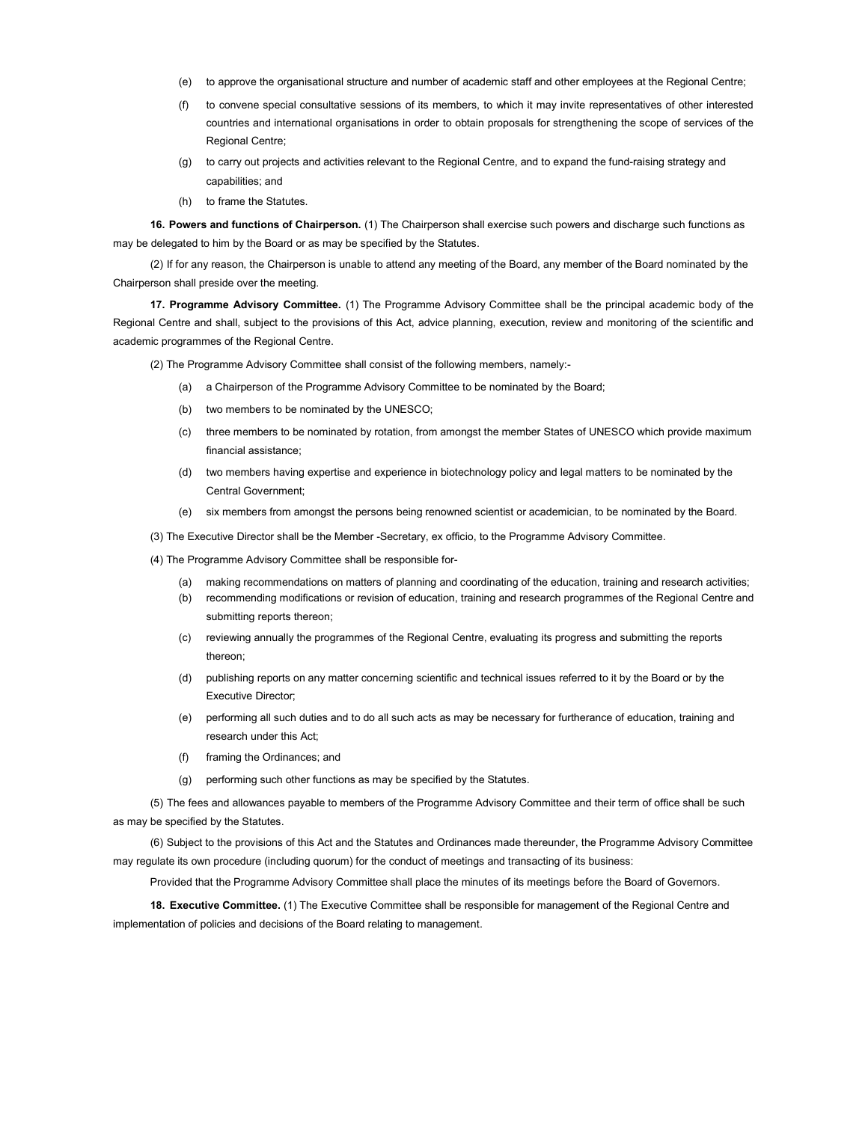- (e) to approve the organisational structure and number of academic staff and other employees at the Regional Centre;
- (f) to convene special consultative sessions of its members, to which it may invite representatives of other interested countries and international organisations in order to obtain proposals for strengthening the scope of services of the Regional Centre;
- (g) to carry out projects and activities relevant to the Regional Centre, and to expand the fund-raising strategy and capabilities; and
- (h) to frame the Statutes.

16. Powers and functions of Chairperson. (1) The Chairperson shall exercise such powers and discharge such functions as may be delegated to him by the Board or as may be specified by the Statutes.

(2) If for any reason, the Chairperson is unable to attend any meeting of the Board, any member of the Board nominated by the Chairperson shall preside over the meeting.

17. Programme Advisory Committee. (1) The Programme Advisory Committee shall be the principal academic body of the Regional Centre and shall, subject to the provisions of this Act, advice planning, execution, review and monitoring of the scientific and academic programmes of the Regional Centre.

(2) The Programme Advisory Committee shall consist of the following members, namely:-

- (a) a Chairperson of the Programme Advisory Committee to be nominated by the Board;
- (b) two members to be nominated by the UNESCO;
- (c) three members to be nominated by rotation, from amongst the member States of UNESCO which provide maximum financial assistance;
- (d) two members having expertise and experience in biotechnology policy and legal matters to be nominated by the Central Government;
- (e) six members from amongst the persons being renowned scientist or academician, to be nominated by the Board.

(3) The Executive Director shall be the Member -Secretary, ex officio, to the Programme Advisory Committee.

- (4) The Programme Advisory Committee shall be responsible for-
	- (a) making recommendations on matters of planning and coordinating of the education, training and research activities;
	- (b) recommending modifications or revision of education, training and research programmes of the Regional Centre and submitting reports thereon;
	- (c) reviewing annually the programmes of the Regional Centre, evaluating its progress and submitting the reports thereon;
	- (d) publishing reports on any matter concerning scientific and technical issues referred to it by the Board or by the Executive Director;
	- (e) performing all such duties and to do all such acts as may be necessary for furtherance of education, training and research under this Act;
	- (f) framing the Ordinances; and
	- (g) performing such other functions as may be specified by the Statutes.

(5) The fees and allowances payable to members of the Programme Advisory Committee and their term of office shall be such as may be specified by the Statutes.

(6) Subject to the provisions of this Act and the Statutes and Ordinances made thereunder, the Programme Advisory Committee may regulate its own procedure (including quorum) for the conduct of meetings and transacting of its business:

Provided that the Programme Advisory Committee shall place the minutes of its meetings before the Board of Governors.

18. Executive Committee. (1) The Executive Committee shall be responsible for management of the Regional Centre and implementation of policies and decisions of the Board relating to management.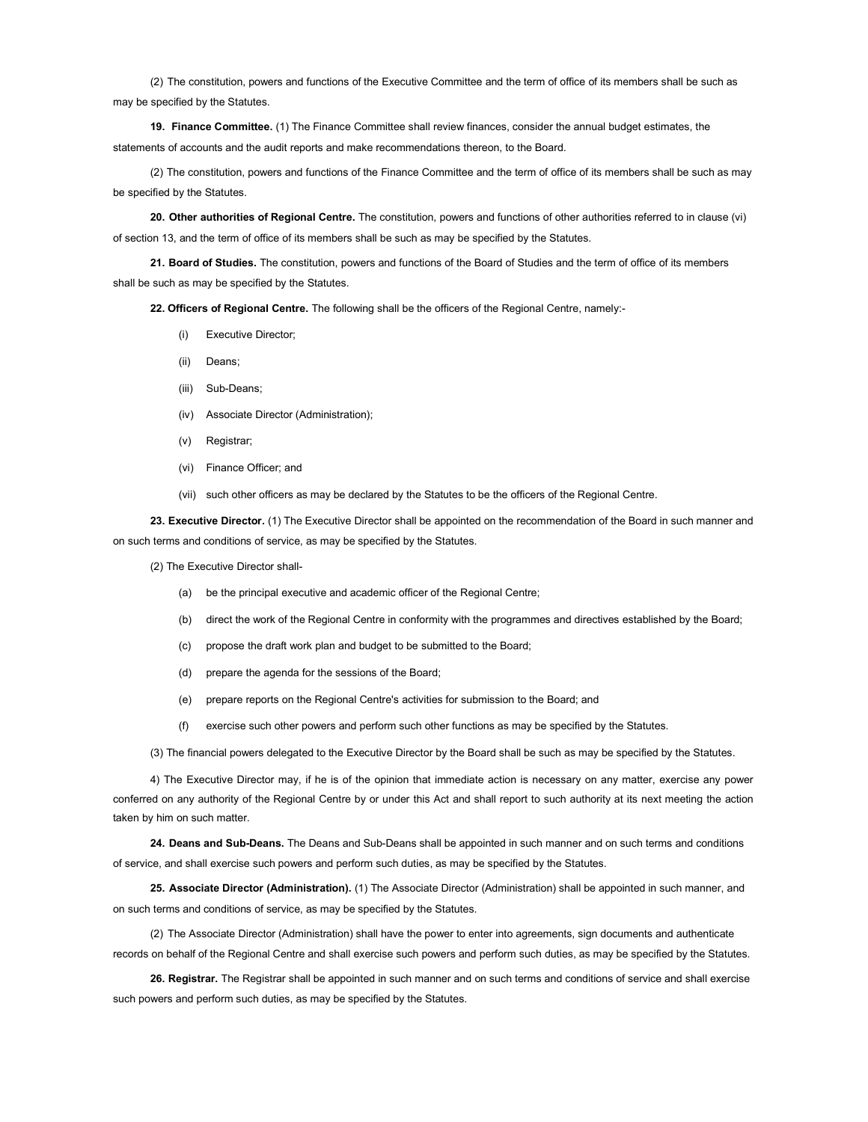(2) The constitution, powers and functions of the Executive Committee and the term of office of its members shall be such as may be specified by the Statutes.

19. Finance Committee. (1) The Finance Committee shall review finances, consider the annual budget estimates, the statements of accounts and the audit reports and make recommendations thereon, to the Board.

(2) The constitution, powers and functions of the Finance Committee and the term of office of its members shall be such as may be specified by the Statutes.

20. Other authorities of Regional Centre. The constitution, powers and functions of other authorities referred to in clause (vi) of section 13, and the term of office of its members shall be such as may be specified by the Statutes.

21. Board of Studies. The constitution, powers and functions of the Board of Studies and the term of office of its members shall be such as may be specified by the Statutes.

22. Officers of Regional Centre. The following shall be the officers of the Regional Centre, namely:-

- (i) Executive Director;
- (ii) Deans;
- (iii) Sub-Deans;
- (iv) Associate Director (Administration);
- (v) Registrar;
- (vi) Finance Officer; and
- (vii) such other officers as may be declared by the Statutes to be the officers of the Regional Centre.

23. Executive Director. (1) The Executive Director shall be appointed on the recommendation of the Board in such manner and on such terms and conditions of service, as may be specified by the Statutes.

(2) The Executive Director shall-

- (a) be the principal executive and academic officer of the Regional Centre;
- (b) direct the work of the Regional Centre in conformity with the programmes and directives established by the Board;
- (c) propose the draft work plan and budget to be submitted to the Board;
- (d) prepare the agenda for the sessions of the Board;
- (e) prepare reports on the Regional Centre's activities for submission to the Board; and
- (f) exercise such other powers and perform such other functions as may be specified by the Statutes.

(3) The financial powers delegated to the Executive Director by the Board shall be such as may be specified by the Statutes.

4) The Executive Director may, if he is of the opinion that immediate action is necessary on any matter, exercise any power conferred on any authority of the Regional Centre by or under this Act and shall report to such authority at its next meeting the action taken by him on such matter.

24. Deans and Sub-Deans. The Deans and Sub-Deans shall be appointed in such manner and on such terms and conditions of service, and shall exercise such powers and perform such duties, as may be specified by the Statutes.

25. Associate Director (Administration). (1) The Associate Director (Administration) shall be appointed in such manner, and on such terms and conditions of service, as may be specified by the Statutes.

(2) The Associate Director (Administration) shall have the power to enter into agreements, sign documents and authenticate records on behalf of the Regional Centre and shall exercise such powers and perform such duties, as may be specified by the Statutes.

26. Registrar. The Registrar shall be appointed in such manner and on such terms and conditions of service and shall exercise such powers and perform such duties, as may be specified by the Statutes.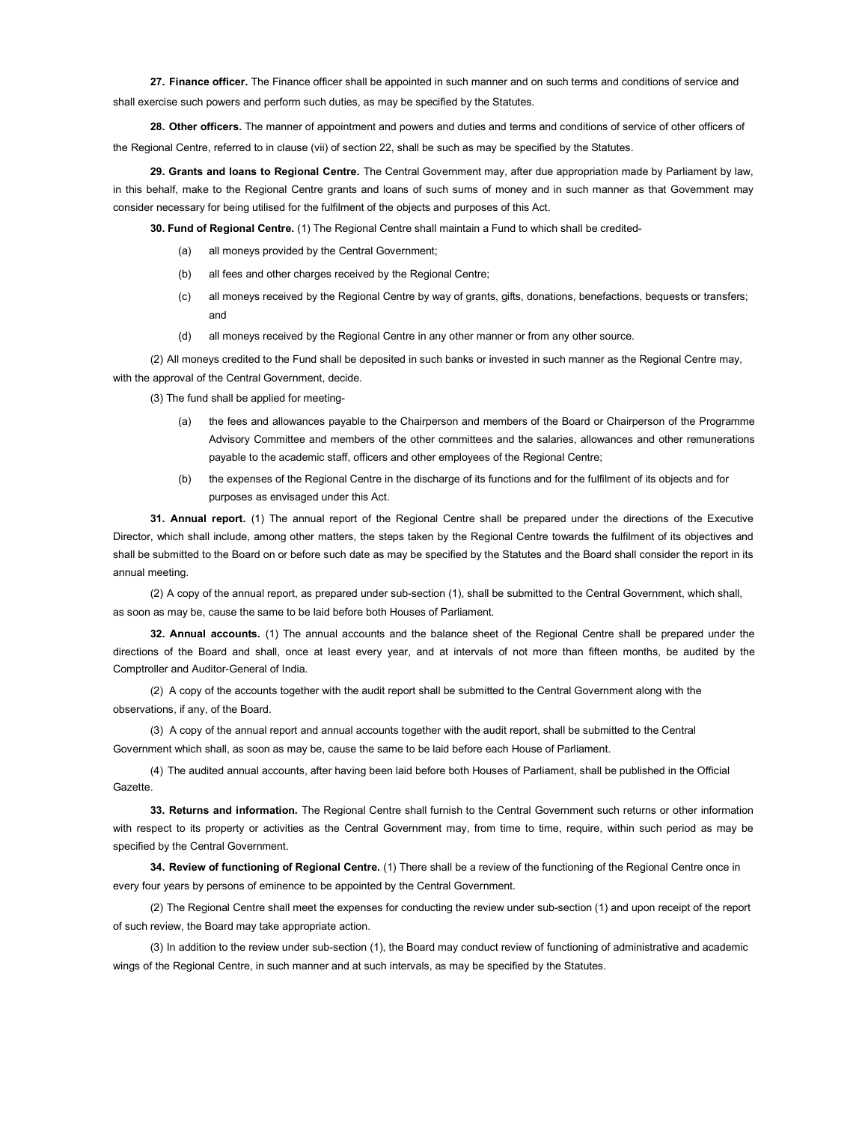27. Finance officer. The Finance officer shall be appointed in such manner and on such terms and conditions of service and shall exercise such powers and perform such duties, as may be specified by the Statutes.

28. Other officers. The manner of appointment and powers and duties and terms and conditions of service of other officers of the Regional Centre, referred to in clause (vii) of section 22, shall be such as may be specified by the Statutes.

29. Grants and loans to Regional Centre. The Central Government may, after due appropriation made by Parliament by law, in this behalf, make to the Regional Centre grants and loans of such sums of money and in such manner as that Government may consider necessary for being utilised for the fulfilment of the objects and purposes of this Act.

30. Fund of Regional Centre. (1) The Regional Centre shall maintain a Fund to which shall be credited-

- (a) all moneys provided by the Central Government;
- (b) all fees and other charges received by the Regional Centre;
- (c) all moneys received by the Regional Centre by way of grants, gifts, donations, benefactions, bequests or transfers; and
- (d) all moneys received by the Regional Centre in any other manner or from any other source.

(2) All moneys credited to the Fund shall be deposited in such banks or invested in such manner as the Regional Centre may, with the approval of the Central Government, decide.

(3) The fund shall be applied for meeting-

- (a) the fees and allowances payable to the Chairperson and members of the Board or Chairperson of the Programme Advisory Committee and members of the other committees and the salaries, allowances and other remunerations payable to the academic staff, officers and other employees of the Regional Centre;
- (b) the expenses of the Regional Centre in the discharge of its functions and for the fulfilment of its objects and for purposes as envisaged under this Act.

31. Annual report. (1) The annual report of the Regional Centre shall be prepared under the directions of the Executive Director, which shall include, among other matters, the steps taken by the Regional Centre towards the fulfilment of its objectives and shall be submitted to the Board on or before such date as may be specified by the Statutes and the Board shall consider the report in its annual meeting.

(2) A copy of the annual report, as prepared under sub-section (1), shall be submitted to the Central Government, which shall, as soon as may be, cause the same to be laid before both Houses of Parliament.

32. Annual accounts. (1) The annual accounts and the balance sheet of the Regional Centre shall be prepared under the directions of the Board and shall, once at least every year, and at intervals of not more than fifteen months, be audited by the Comptroller and Auditor-General of India.

(2) A copy of the accounts together with the audit report shall be submitted to the Central Government along with the observations, if any, of the Board.

(3) A copy of the annual report and annual accounts together with the audit report, shall be submitted to the Central Government which shall, as soon as may be, cause the same to be laid before each House of Parliament.

(4) The audited annual accounts, after having been laid before both Houses of Parliament, shall be published in the Official Gazette.

33. Returns and information. The Regional Centre shall furnish to the Central Government such returns or other information with respect to its property or activities as the Central Government may, from time to time, require, within such period as may be specified by the Central Government.

34. Review of functioning of Regional Centre. (1) There shall be a review of the functioning of the Regional Centre once in every four years by persons of eminence to be appointed by the Central Government.

(2) The Regional Centre shall meet the expenses for conducting the review under sub-section (1) and upon receipt of the report of such review, the Board may take appropriate action.

(3) In addition to the review under sub-section (1), the Board may conduct review of functioning of administrative and academic wings of the Regional Centre, in such manner and at such intervals, as may be specified by the Statutes.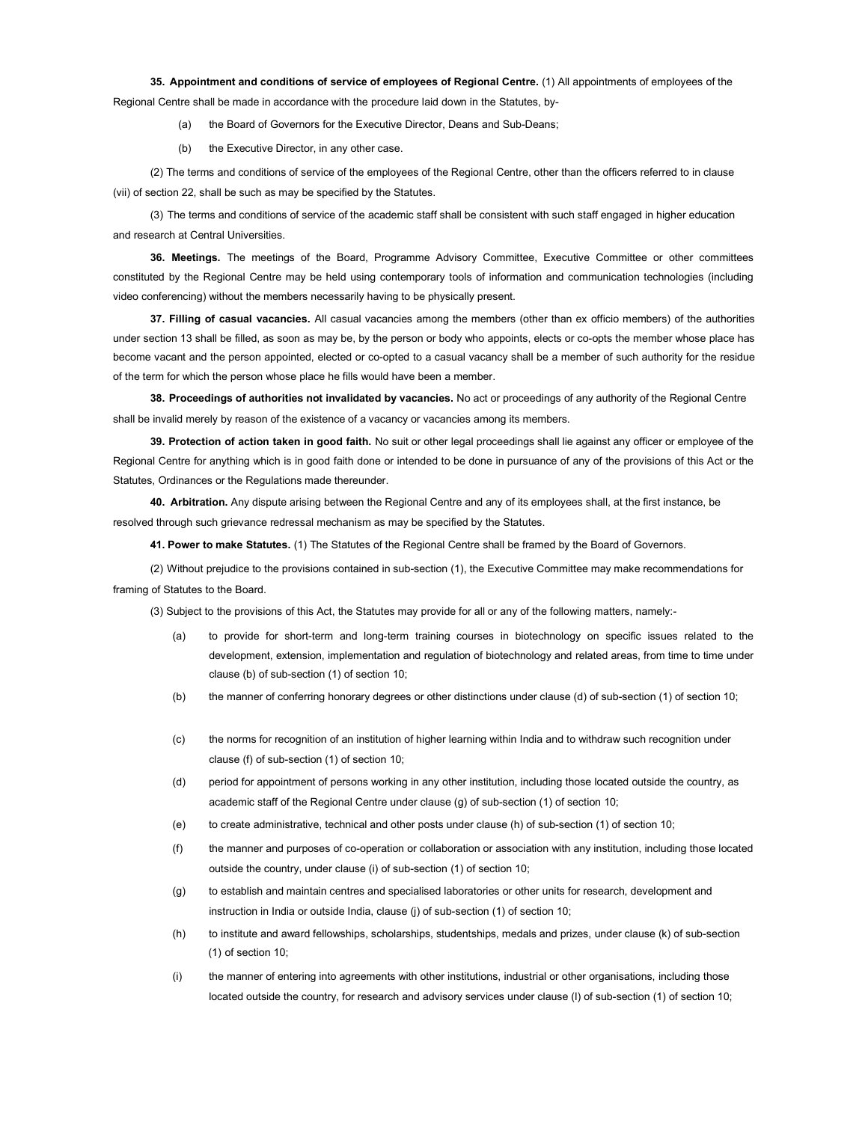35. Appointment and conditions of service of employees of Regional Centre. (1) All appointments of employees of the Regional Centre shall be made in accordance with the procedure laid down in the Statutes, by-

- (a) the Board of Governors for the Executive Director, Deans and Sub-Deans;
- (b) the Executive Director, in any other case.

(2) The terms and conditions of service of the employees of the Regional Centre, other than the officers referred to in clause (vii) of section 22, shall be such as may be specified by the Statutes.

(3) The terms and conditions of service of the academic staff shall be consistent with such staff engaged in higher education and research at Central Universities.

36. Meetings. The meetings of the Board, Programme Advisory Committee, Executive Committee or other committees constituted by the Regional Centre may be held using contemporary tools of information and communication technologies (including video conferencing) without the members necessarily having to be physically present.

37. Filling of casual vacancies. All casual vacancies among the members (other than ex officio members) of the authorities under section 13 shall be filled, as soon as may be, by the person or body who appoints, elects or co-opts the member whose place has become vacant and the person appointed, elected or co-opted to a casual vacancy shall be a member of such authority for the residue of the term for which the person whose place he fills would have been a member.

38. Proceedings of authorities not invalidated by vacancies. No act or proceedings of any authority of the Regional Centre shall be invalid merely by reason of the existence of a vacancy or vacancies among its members.

39. Protection of action taken in good faith. No suit or other legal proceedings shall lie against any officer or employee of the Regional Centre for anything which is in good faith done or intended to be done in pursuance of any of the provisions of this Act or the Statutes, Ordinances or the Regulations made thereunder.

40. Arbitration. Any dispute arising between the Regional Centre and any of its employees shall, at the first instance, be resolved through such grievance redressal mechanism as may be specified by the Statutes.

41. Power to make Statutes. (1) The Statutes of the Regional Centre shall be framed by the Board of Governors.

(2) Without prejudice to the provisions contained in sub-section (1), the Executive Committee may make recommendations for framing of Statutes to the Board.

(3) Subject to the provisions of this Act, the Statutes may provide for all or any of the following matters, namely:-

- (a) to provide for short-term and long-term training courses in biotechnology on specific issues related to the development, extension, implementation and regulation of biotechnology and related areas, from time to time under clause (b) of sub-section (1) of section 10;
- (b) the manner of conferring honorary degrees or other distinctions under clause (d) of sub-section (1) of section 10;
- (c) the norms for recognition of an institution of higher learning within India and to withdraw such recognition under clause (f) of sub-section (1) of section 10;
- (d) period for appointment of persons working in any other institution, including those located outside the country, as academic staff of the Regional Centre under clause (g) of sub-section (1) of section 10;
- (e) to create administrative, technical and other posts under clause (h) of sub-section (1) of section 10;
- (f) the manner and purposes of co-operation or collaboration or association with any institution, including those located outside the country, under clause (i) of sub-section (1) of section 10;
- (g) to establish and maintain centres and specialised laboratories or other units for research, development and instruction in India or outside India, clause (j) of sub-section (1) of section 10;
- (h) to institute and award fellowships, scholarships, studentships, medals and prizes, under clause (k) of sub-section (1) of section 10;
- (i) the manner of entering into agreements with other institutions, industrial or other organisations, including those located outside the country, for research and advisory services under clause (l) of sub-section (1) of section 10;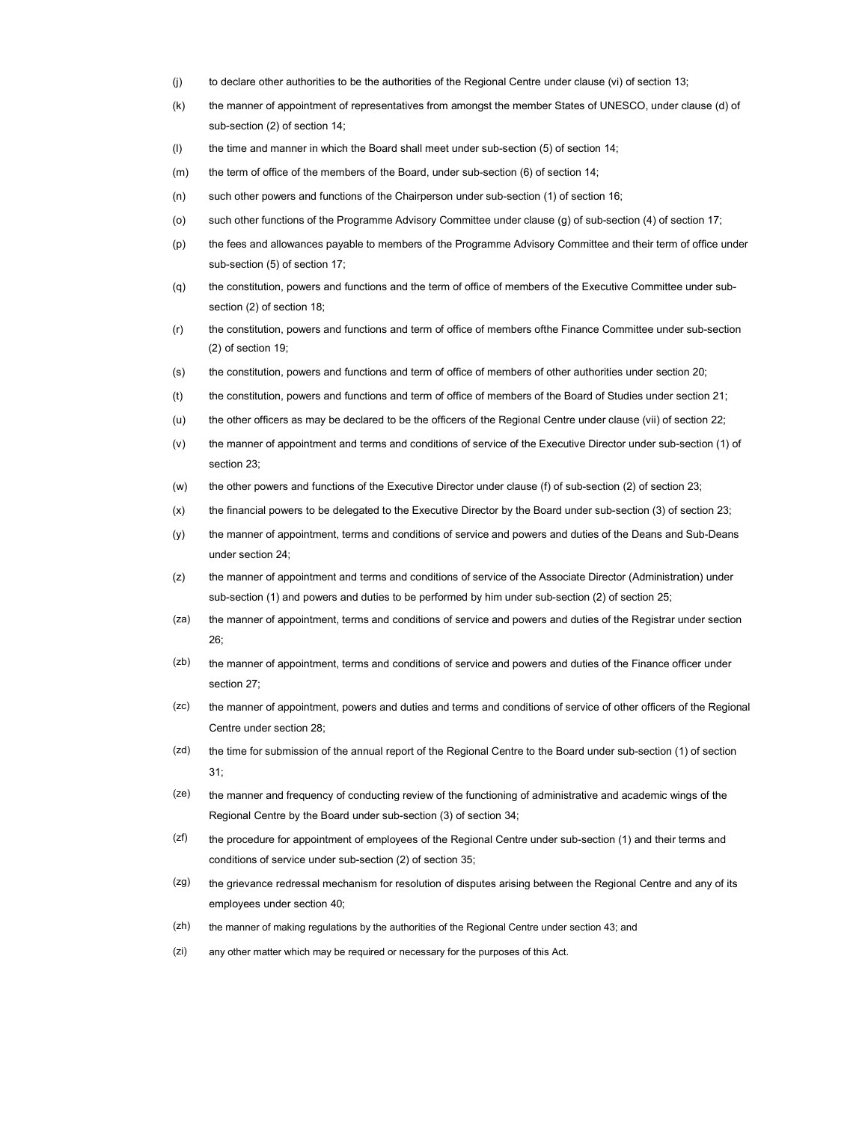- (j) to declare other authorities to be the authorities of the Regional Centre under clause (vi) of section 13;
- (k) the manner of appointment of representatives from amongst the member States of UNESCO, under clause (d) of sub-section (2) of section 14;
- (l) the time and manner in which the Board shall meet under sub-section (5) of section 14;
- (m) the term of office of the members of the Board, under sub-section (6) of section 14;
- (n) such other powers and functions of the Chairperson under sub-section (1) of section 16;
- (o) such other functions of the Programme Advisory Committee under clause (g) of sub-section (4) of section 17;
- (p) the fees and allowances payable to members of the Programme Advisory Committee and their term of office under sub-section (5) of section 17;
- (q) the constitution, powers and functions and the term of office of members of the Executive Committee under subsection (2) of section 18;
- (r) the constitution, powers and functions and term of office of members ofthe Finance Committee under sub-section (2) of section 19;
- (s) the constitution, powers and functions and term of office of members of other authorities under section 20;
- (t) the constitution, powers and functions and term of office of members of the Board of Studies under section 21;
- (u) the other officers as may be declared to be the officers of the Regional Centre under clause (vii) of section 22;
- (v) the manner of appointment and terms and conditions of service of the Executive Director under sub-section (1) of section 23;
- (w) the other powers and functions of the Executive Director under clause (f) of sub-section (2) of section 23;
- (x) the financial powers to be delegated to the Executive Director by the Board under sub-section (3) of section 23;
- (y) the manner of appointment, terms and conditions of service and powers and duties of the Deans and Sub-Deans under section 24;
- (z) the manner of appointment and terms and conditions of service of the Associate Director (Administration) under sub-section (1) and powers and duties to be performed by him under sub-section (2) of section 25;
- (za) the manner of appointment, terms and conditions of service and powers and duties of the Registrar under section 26;
- (zb) the manner of appointment, terms and conditions of service and powers and duties of the Finance officer under section 27;
- (zc) the manner of appointment, powers and duties and terms and conditions of service of other officers of the Regional Centre under section 28;
- (zd) the time for submission of the annual report of the Regional Centre to the Board under sub-section (1) of section 31;
- (ze) the manner and frequency of conducting review of the functioning of administrative and academic wings of the Regional Centre by the Board under sub-section (3) of section 34;
- $(zt)$  the procedure for appointment of employees of the Regional Centre under sub-section (1) and their terms and conditions of service under sub-section (2) of section 35;
- (zg) the grievance redressal mechanism for resolution of disputes arising between the Regional Centre and any of its employees under section 40;
- (zh) the manner of making regulations by the authorities of the Regional Centre under section 43; and
- (zi) any other matter which may be required or necessary for the purposes of this Act.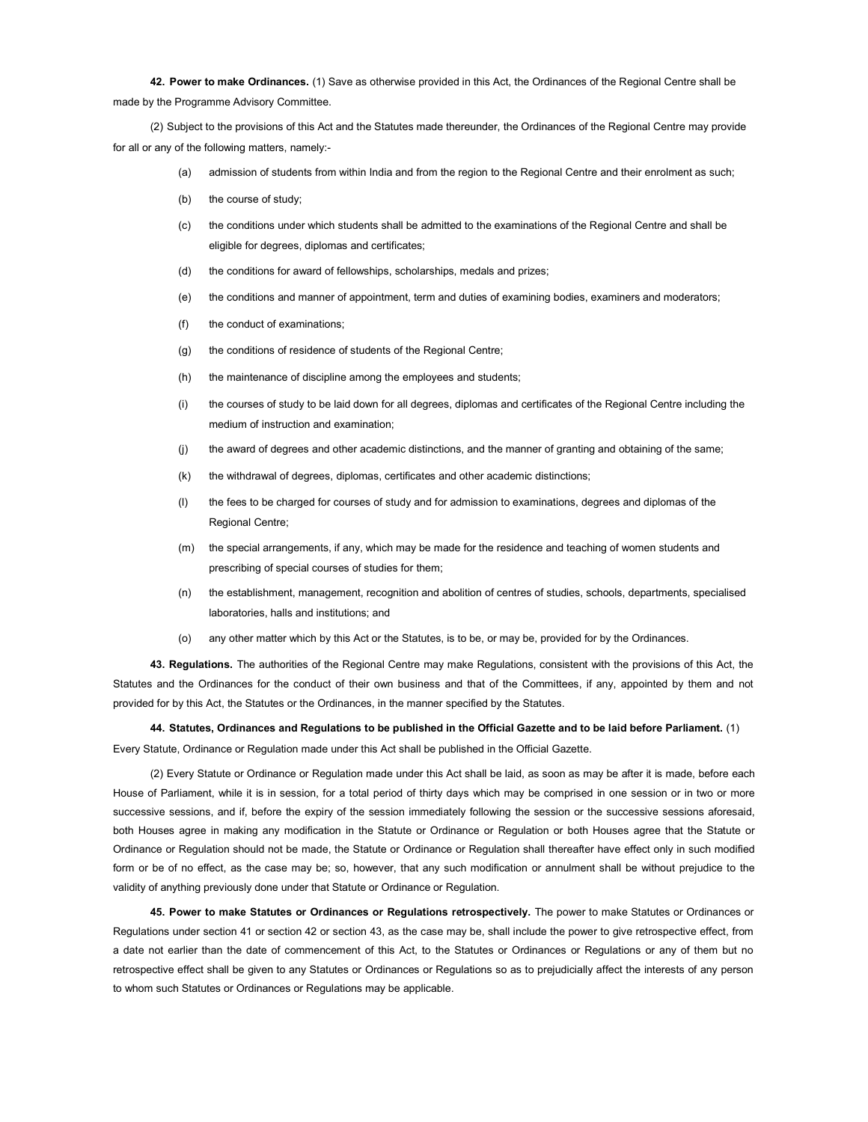42. Power to make Ordinances. (1) Save as otherwise provided in this Act, the Ordinances of the Regional Centre shall be made by the Programme Advisory Committee.

(2) Subject to the provisions of this Act and the Statutes made thereunder, the Ordinances of the Regional Centre may provide for all or any of the following matters, namely:-

- (a) admission of students from within India and from the region to the Regional Centre and their enrolment as such;
- (b) the course of study;
- (c) the conditions under which students shall be admitted to the examinations of the Regional Centre and shall be eligible for degrees, diplomas and certificates;
- (d) the conditions for award of fellowships, scholarships, medals and prizes;
- (e) the conditions and manner of appointment, term and duties of examining bodies, examiners and moderators;
- (f) the conduct of examinations;
- (g) the conditions of residence of students of the Regional Centre;
- (h) the maintenance of discipline among the employees and students;
- (i) the courses of study to be laid down for all degrees, diplomas and certificates of the Regional Centre including the medium of instruction and examination;
- (j) the award of degrees and other academic distinctions, and the manner of granting and obtaining of the same;
- (k) the withdrawal of degrees, diplomas, certificates and other academic distinctions;
- (l) the fees to be charged for courses of study and for admission to examinations, degrees and diplomas of the Regional Centre;
- (m) the special arrangements, if any, which may be made for the residence and teaching of women students and prescribing of special courses of studies for them;
- (n) the establishment, management, recognition and abolition of centres of studies, schools, departments, specialised laboratories, halls and institutions; and
- (o) any other matter which by this Act or the Statutes, is to be, or may be, provided for by the Ordinances.

43. Regulations. The authorities of the Regional Centre may make Regulations, consistent with the provisions of this Act, the Statutes and the Ordinances for the conduct of their own business and that of the Committees, if any, appointed by them and not provided for by this Act, the Statutes or the Ordinances, in the manner specified by the Statutes.

44. Statutes, Ordinances and Regulations to be published in the Official Gazette and to be laid before Parliament. (1) Every Statute, Ordinance or Regulation made under this Act shall be published in the Official Gazette.

(2) Every Statute or Ordinance or Regulation made under this Act shall be laid, as soon as may be after it is made, before each House of Parliament, while it is in session, for a total period of thirty days which may be comprised in one session or in two or more successive sessions, and if, before the expiry of the session immediately following the session or the successive sessions aforesaid, both Houses agree in making any modification in the Statute or Ordinance or Regulation or both Houses agree that the Statute or Ordinance or Regulation should not be made, the Statute or Ordinance or Regulation shall thereafter have effect only in such modified form or be of no effect, as the case may be; so, however, that any such modification or annulment shall be without prejudice to the validity of anything previously done under that Statute or Ordinance or Regulation.

45. Power to make Statutes or Ordinances or Regulations retrospectively. The power to make Statutes or Ordinances or Regulations under section 41 or section 42 or section 43, as the case may be, shall include the power to give retrospective effect, from a date not earlier than the date of commencement of this Act, to the Statutes or Ordinances or Regulations or any of them but no retrospective effect shall be given to any Statutes or Ordinances or Regulations so as to prejudicially affect the interests of any person to whom such Statutes or Ordinances or Regulations may be applicable.